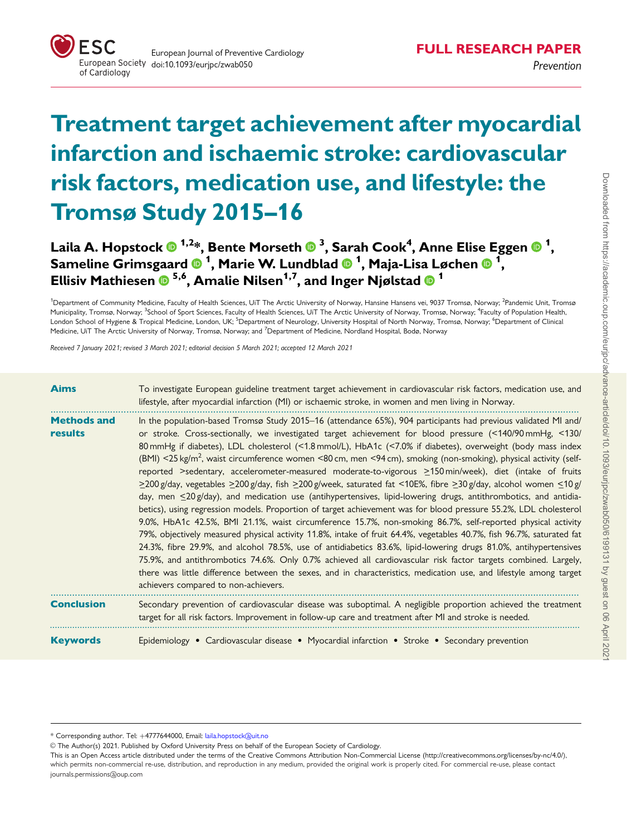

# Treatment target achievement after myocardial infarction and ischaemic stroke: cardiovascular risk factors, medication use, and lifestyle: the Tromsø Study 2015–16

Laila A. Hopstock  $\mathbf{0}^{1,2*}$ , Bente Morseth  $\mathbf{0}^{3}$ , Sarah Cook $^{4}$ , Anne Elise Eggen  $\mathbf{0}^{1},$ <code>Sameline</code> Grimsgaard  $\bullet$   $^{1}$ , Marie W. Lundblad  $\bullet$   $^{1}$ , Maja-Lisa Løchen  $\bullet$   $^{1}$ , Ellisiv Mathiesen  $\overline{0}^{5,6}$ , Amalie Nilsen<sup>1,7</sup>, and Inger Njølstad  $\overline{0}^{1}$ 

<sup>1</sup>Department of Community Medicine, Faculty of Health Sciences, UiT The Arctic University of Norway, Hansine Hansens vei, 9037 Tromsø, Norway; <sup>2</sup>Pandemic Unit, Tromsø Municipality, Tromsø, Norway; <sup>3</sup>School of Sport Sciences, Faculty of Health Sciences, UiT The Arctic University of Norway, Tromsø, Norway; <sup>4</sup>Faculty of Population Health. London School of Hygiene & Tropical Medicine, London, UK; <sup>5</sup>Department of Neurology, University Hospital of North Norway, Tromsø, Norway; <sup>6</sup>Department of Clinical Medicine, UiT The Arctic University of Norway, Tromsø, Norway; and <sup>7</sup>Department of Medicine, Nordland Hospital, Bodø, Norway

Received 7 January 2021; revised 3 March 2021; editorial decision 5 March 2021; accepted 12 March 2021

| <b>Aims</b>                   | To investigate European guideline treatment target achievement in cardiovascular risk factors, medication use, and<br>lifestyle, after myocardial infarction (MI) or ischaemic stroke, in women and men living in Norway.                                                                                                                                                                                                                                                                                                                                                                                                                                                                                                                                                                                                                                                                                                                                                                                                                                                                                                                                                                                                                                                                                                                                                                                                                                                                                                                                                                                               |
|-------------------------------|-------------------------------------------------------------------------------------------------------------------------------------------------------------------------------------------------------------------------------------------------------------------------------------------------------------------------------------------------------------------------------------------------------------------------------------------------------------------------------------------------------------------------------------------------------------------------------------------------------------------------------------------------------------------------------------------------------------------------------------------------------------------------------------------------------------------------------------------------------------------------------------------------------------------------------------------------------------------------------------------------------------------------------------------------------------------------------------------------------------------------------------------------------------------------------------------------------------------------------------------------------------------------------------------------------------------------------------------------------------------------------------------------------------------------------------------------------------------------------------------------------------------------------------------------------------------------------------------------------------------------|
| <b>Methods and</b><br>results | In the population-based Tromsø Study 2015-16 (attendance 65%), 904 participants had previous validated MI and/<br>or stroke. Cross-sectionally, we investigated target achievement for blood pressure (<140/90 mmHg, <130/<br>80 mmHg if diabetes), LDL cholesterol (<1.8 mmol/L), HbA1c (<7.0% if diabetes), overweight (body mass index<br>(BMI) <25 kg/m <sup>2</sup> , waist circumference women <80 cm, men <94 cm), smoking (non-smoking), physical activity (self-<br>reported >sedentary, accelerometer-measured moderate-to-vigorous >150 min/week), diet (intake of fruits<br>$\geq$ 200 g/day, vegetables $\geq$ 200 g/day, fish $\geq$ 200 g/week, saturated fat <10E%, fibre $\geq$ 30 g/day, alcohol women $\leq$ 10 g/<br>day, men <20 g/day), and medication use (antihypertensives, lipid-lowering drugs, antithrombotics, and antidia-<br>betics), using regression models. Proportion of target achievement was for blood pressure 55.2%, LDL cholesterol<br>9.0%, HbA1c 42.5%, BMI 21.1%, waist circumference 15.7%, non-smoking 86.7%, self-reported physical activity<br>79%, objectively measured physical activity 11.8%, intake of fruit 64.4%, vegetables 40.7%, fish 96.7%, saturated fat<br>24.3%, fibre 29.9%, and alcohol 78.5%, use of antidiabetics 83.6%, lipid-lowering drugs 81.0%, antihypertensives<br>75.9%, and antithrombotics 74.6%. Only 0.7% achieved all cardiovascular risk factor targets combined. Largely,<br>there was little difference between the sexes, and in characteristics, medication use, and lifestyle among target<br>achievers compared to non-achievers. |
| <b>Conclusion</b>             | Secondary prevention of cardiovascular disease was suboptimal. A negligible proportion achieved the treatment<br>target for all risk factors. Improvement in follow-up care and treatment after MI and stroke is needed.                                                                                                                                                                                                                                                                                                                                                                                                                                                                                                                                                                                                                                                                                                                                                                                                                                                                                                                                                                                                                                                                                                                                                                                                                                                                                                                                                                                                |
| <b>Keywords</b>               | Epidemiology • Cardiovascular disease • Myocardial infarction • Stroke • Secondary prevention                                                                                                                                                                                                                                                                                                                                                                                                                                                                                                                                                                                                                                                                                                                                                                                                                                                                                                                                                                                                                                                                                                                                                                                                                                                                                                                                                                                                                                                                                                                           |

\* Corresponding author. Tel: þ4777644000, Email: laila.hopstock@uit.no

V<sup>C</sup> The Author(s) 2021. Published by Oxford University Press on behalf of the European Society of Cardiology.

This is an Open Access article distributed under the terms of the Creative Commons Attribution Non-Commercial License ([http://creativecommons.org/licenses/by-nc/4.0/](Undefined namespace prefix
xmlXPathCompOpEval: parameter error
xmlXPathEval: evaluation failed
)), which permits non-commercial re-use, distribution, and reproduction in any medium, provided the original work is properly cited. For commercial re-use, please contact journals.permissions@oup.com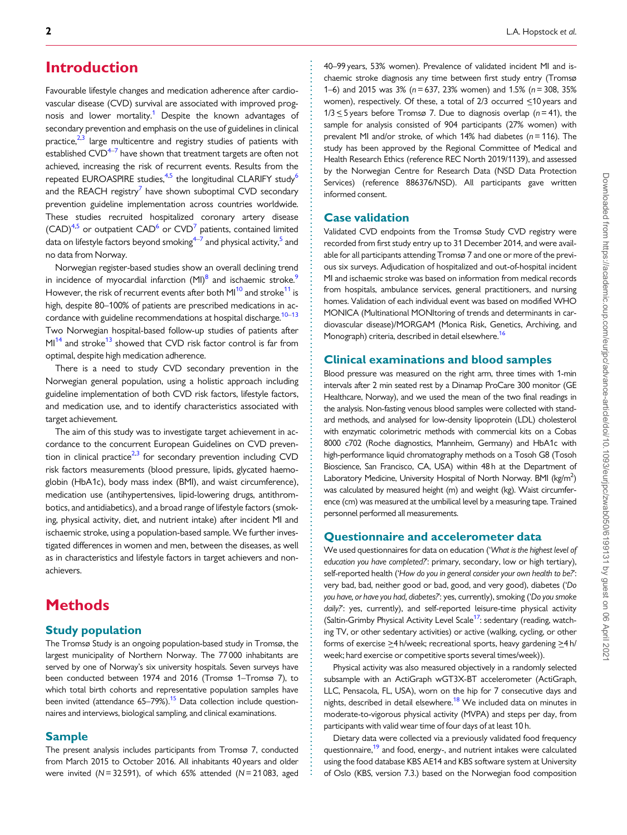# <span id="page-1-0"></span>**Introduction**

Favourable lifestyle changes and medication adherence after cardiovascular disease (CVD) survival are associated with improved prognosis and lower mortality.<sup>1</sup> Despite the known advantages of secondary prevention and emphasis on the use of guidelines in clinical practice, $2^{\frac{2}{3}}$  large multicentre and registry studies of patients with established  $CVD^{4-7}$  have shown that treatment targets are often not achieved, increasing the risk of recurrent events. Results from the repeated EUROASPIRE studies, $4.5$  the longitudinal CLARIFY study<sup>6</sup> and the REACH registry $^7$  $^7$  have shown suboptimal CVD secondary prevention guideline implementation across countries worldwide. These studies recruited hospitalized coronary artery disease  $(CAD)^{4,5}$  $(CAD)^{4,5}$  $(CAD)^{4,5}$  or outpatient  $CAD<sup>6</sup>$  or  $CVD<sup>7</sup>$  $CVD<sup>7</sup>$  $CVD<sup>7</sup>$  patients, contained limited data on lifestyle factors beyond smoking<sup>4–7</sup> and physical activity,<sup>5</sup> and no data from Norway.

Norwegian register-based studies show an overall declining trend in incidence of myocardial infarction  $(MI)^8$  and ischaemic stroke.<sup>9</sup> However, the risk of recurrent events after both MI<sup>10</sup> and stroke<sup>[11](#page-7-0)</sup> is high, despite 80–100% of patients are prescribed medications in accordance with guideline recommendations at hospital discharge.<sup>10–13</sup> Two Norwegian hospital-based follow-up studies of patients after  $M1<sup>14</sup>$  and stroke<sup>13</sup> showed that CVD risk factor control is far from optimal, despite high medication adherence.

There is a need to study CVD secondary prevention in the Norwegian general population, using a holistic approach including guideline implementation of both CVD risk factors, lifestyle factors, and medication use, and to identify characteristics associated with target achievement.

The aim of this study was to investigate target achievement in accordance to the concurrent European Guidelines on CVD prevention in clinical practice $2^3$  for secondary prevention including CVD risk factors measurements (blood pressure, lipids, glycated haemoglobin (HbA1c), body mass index (BMI), and waist circumference), medication use (antihypertensives, lipid-lowering drugs, antithrombotics, and antidiabetics), and a broad range of lifestyle factors (smoking, physical activity, diet, and nutrient intake) after incident MI and ischaemic stroke, using a population-based sample. We further investigated differences in women and men, between the diseases, as well as in characteristics and lifestyle factors in target achievers and nonachievers.

# **Methods**

#### Study population

The Tromsø Study is an ongoing population-based study in Tromsø, the largest municipality of Northern Norway. The 77 000 inhabitants are served by one of Norway's six university hospitals. Seven surveys have been conducted between 1974 and 2016 (Tromsø 1–Tromsø 7), to which total birth cohorts and representative population samples have been invited (attendance  $65-79\%$ ).<sup>15</sup> Data collection include questionnaires and interviews, biological sampling, and clinical examinations.

#### Sample

The present analysis includes participants from Tromsø 7, conducted from March 2015 to October 2016. All inhabitants 40 years and older were invited ( $N = 32591$ ), of which 65% attended ( $N = 21083$ , aged 40–99 years, 53% women). Prevalence of validated incident MI and ischaemic stroke diagnosis any time between first study entry (Tromsø 1–6) and 2015 was 3% ( $n = 637$ , 23% women) and 1.5% ( $n = 308$ , 35% women), respectively. Of these, a total of 2/3 occurred <10 years and  $1/3 \le 5$  years before Tromsø 7. Due to diagnosis overlap (n=41), the sample for analysis consisted of 904 participants (27% women) with prevalent MI and/or stroke, of which 14% had diabetes ( $n = 116$ ). The study has been approved by the Regional Committee of Medical and Health Research Ethics (reference REC North 2019/1139), and assessed by the Norwegian Centre for Research Data (NSD Data Protection Services) (reference 886376/NSD). All participants gave written informed consent.

#### Case validation

Validated CVD endpoints from the Tromsø Study CVD registry were recorded from first study entry up to 31 December 2014, and were available for all participants attending Tromsø 7 and one or more of the previous six surveys. Adjudication of hospitalized and out-of-hospital incident MI and ischaemic stroke was based on information from medical records from hospitals, ambulance services, general practitioners, and nursing homes. Validation of each individual event was based on modified WHO MONICA (Multinational MONItoring of trends and determinants in cardiovascular disease)/MORGAM (Monica Risk, Genetics, Archiving, and Monograph) criteria, described in detail elsewhere.<sup>16</sup>

### Clinical examinations and blood samples

Blood pressure was measured on the right arm, three times with 1-min intervals after 2 min seated rest by a Dinamap ProCare 300 monitor (GE Healthcare, Norway), and we used the mean of the two final readings in the analysis. Non-fasting venous blood samples were collected with standard methods, and analysed for low-density lipoprotein (LDL) cholesterol with enzymatic colorimetric methods with commercial kits on a Cobas 8000 c702 (Roche diagnostics, Mannheim, Germany) and HbA1c with high-performance liquid chromatography methods on a Tosoh G8 (Tosoh Bioscience, San Francisco, CA, USA) within 48 h at the Department of Laboratory Medicine, University Hospital of North Norway. BMI (kg/m<sup>2</sup>) was calculated by measured height (m) and weight (kg). Waist circumference (cm) was measured at the umbilical level by a measuring tape. Trained personnel performed all measurements.

### Questionnaire and accelerometer data

We used questionnaires for data on education ('What is the highest level of education you have completed?': primary, secondary, low or high tertiary), self-reported health ('How do you in general consider your own health to be?': very bad, bad, neither good or bad, good, and very good), diabetes ('Do you have, or have you had, diabetes?': yes, currently), smoking ('Do you smoke daily?': yes, currently), and self-reported leisure-time physical activity (Saltin-Grimby Physical Activity Level Scale<sup>17</sup>: sedentary (reading, watching TV, or other sedentary activities) or active (walking, cycling, or other forms of exercise  $\geq$ 4 h/week; recreational sports, heavy gardening  $\geq$ 4 h/ week; hard exercise or competitive sports several times/week)).

Physical activity was also measured objectively in a randomly selected subsample with an ActiGraph wGT3X-BT accelerometer (ActiGraph, LLC, Pensacola, FL, USA), worn on the hip for 7 consecutive days and nights, described in detail elsewhere.<sup>18</sup> We included data on minutes in moderate-to-vigorous physical activity (MVPA) and steps per day, from participants with valid wear time of four days of at least 10 h.

Dietary data were collected via a previously validated food frequency questionnaire,<sup>19</sup> and food, energy-, and nutrient intakes were calculated using the food database KBS AE14 and KBS software system at University of Oslo (KBS, version 7.3.) based on the Norwegian food composition

. . . . . . . . . . . . . . . . . . . . . . . . . . . . . . . . . . . . . . . . . . . . . . . . . . . . . . . . . . . . . . . . . . . . . . . . . . . . . . . . . . . . . . . . . . . . . . . . . . . . . . . . . . . . . . . . . . . . . . . . . . . . . . . . . . . . . . . . . . . . . . . . . . . . . . . . . . . . . . . . . . . . . . . . . . . .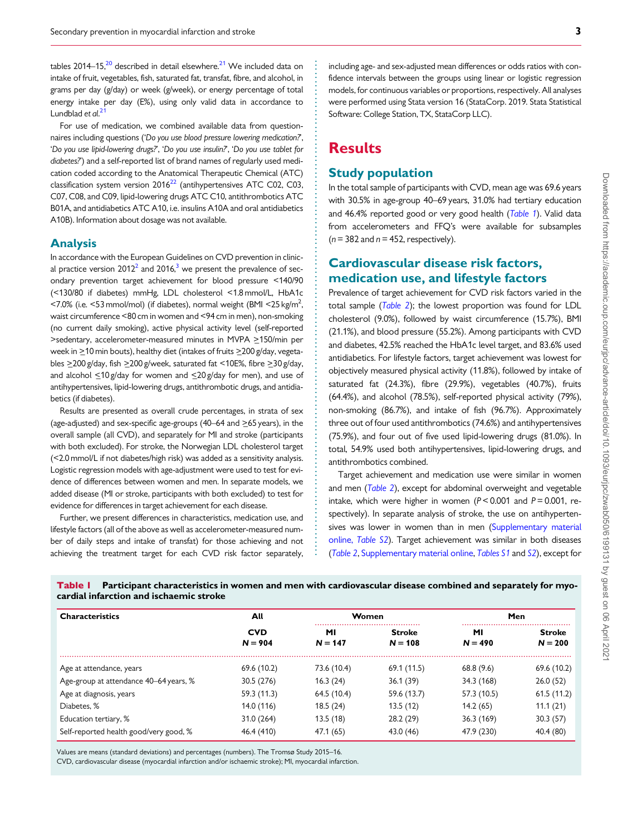<span id="page-2-0"></span>tables  $2014-15$ ,<sup>20</sup> described in detail elsewhere.<sup>21</sup> We included data on intake of fruit, vegetables, fish, saturated fat, transfat, fibre, and alcohol, in grams per day (g/day) or week (g/week), or energy percentage of total energy intake per day (E%), using only valid data in accordance to Lundblad et al.<sup>[21](#page-7-0)</sup>

For use of medication, we combined available data from questionnaires including questions ('Do you use blood pressure lowering medication?', 'Do you use lipid-lowering drugs?', 'Do you use insulin?', 'Do you use tablet for diabetes?') and a self-reported list of brand names of regularly used medication coded according to the Anatomical Therapeutic Chemical (ATC) classification system version  $2016^{22}$  $2016^{22}$  $2016^{22}$  (antihypertensives ATC C02, C03, C07, C08, and C09, lipid-lowering drugs ATC C10, antithrombotics ATC B01A, and antidiabetics ATC A10, i.e. insulins A10A and oral antidiabetics A10B). Information about dosage was not available.

#### Analysis

In accordance with the European Guidelines on CVD prevention in clinical practice version  $2012^2$  and  $2016$ ,<sup>3</sup> we present the prevalence of secondary prevention target achievement for blood pressure <140/90 (<130/80 if diabetes) mmHg, LDL cholesterol <1.8 mmol/L, HbA1c <7.0% (i.e.  $\leq$ 53 mmol/mol) (if diabetes), normal weight (BMI  $\leq$ 25 kg/m<sup>2</sup>, , waist circumference <80 cm in women and <94 cm in men), non-smoking (no current daily smoking), active physical activity level (self-reported >sedentary, accelerometer-measured minutes in MVPA > 150/min per week in  $\geq$ 10 min bouts), healthy diet (intakes of fruits  $\geq$ 200 g/day, vegetables  $\geq$ 200 g/day, fish  $\geq$ 200 g/week, saturated fat <10E%, fibre  $\geq$ 30 g/day, and alcohol  $\leq$ 10 g/day for women and  $\leq$ 20 g/day for men), and use of antihypertensives, lipid-lowering drugs, antithrombotic drugs, and antidiabetics (if diabetes).

Results are presented as overall crude percentages, in strata of sex (age-adjusted) and sex-specific age-groups  $(40-64$  and  $>65$  years), in the overall sample (all CVD), and separately for MI and stroke (participants with both excluded). For stroke, the Norwegian LDL cholesterol target (<2.0 mmol/L if not diabetes/high risk) was added as a sensitivity analysis. Logistic regression models with age-adjustment were used to test for evidence of differences between women and men. In separate models, we added disease (MI or stroke, participants with both excluded) to test for evidence for differences in target achievement for each disease.

Further, we present differences in characteristics, medication use, and lifestyle factors (all of the above as well as accelerometer-measured number of daily steps and intake of transfat) for those achieving and not achieving the treatment target for each CVD risk factor separately,

including age- and sex-adjusted mean differences or odds ratios with confidence intervals between the groups using linear or logistic regression models, for continuous variables or proportions, respectively. All analyses were performed using Stata version 16 (StataCorp. 2019. Stata Statistical Software: College Station, TX, StataCorp LLC).

# **Results**

### Study population

In the total sample of participants with CVD, mean age was 69.6 years with 30.5% in age-group 40–69 years, 31.0% had tertiary education and 46.4% reported good or very good health (Table 1). Valid data from accelerometers and FFQ's were available for subsamples  $(n= 382 \text{ and } n= 452 \text{, respectively}).$ 

## Cardiovascular disease risk factors, medication use, and lifestyle factors

Prevalence of target achievement for CVD risk factors varied in the total sample ([Table 2](#page-3-0)); the lowest proportion was found for LDL cholesterol (9.0%), followed by waist circumference (15.7%), BMI (21.1%), and blood pressure (55.2%). Among participants with CVD and diabetes, 42.5% reached the HbA1c level target, and 83.6% used antidiabetics. For lifestyle factors, target achievement was lowest for objectively measured physical activity (11.8%), followed by intake of saturated fat (24.3%), fibre (29.9%), vegetables (40.7%), fruits (64.4%), and alcohol (78.5%), self-reported physical activity (79%), non-smoking (86.7%), and intake of fish (96.7%). Approximately three out of four used antithrombotics (74.6%) and antihypertensives (75.9%), and four out of five used lipid-lowering drugs (81.0%). In total, 54.9% used both antihypertensives, lipid-lowering drugs, and antithrombotics combined.

Target achievement and medication use were similar in women and men ([Table 2](#page-3-0)), except for abdominal overweight and vegetable intake, which were higher in women  $(P < 0.001$  and  $P = 0.001$ , respectively). In separate analysis of stroke, the use on antihypertensives was lower in women than in men [\(Supplementary material](https://academic.oup.com/eurjpc/article-lookup/doi/10.1093/eurjpc/zwab050#supplementary-data) online, [Table S2](https://academic.oup.com/eurjpc/article-lookup/doi/10.1093/eurjpc/zwab050#supplementary-data)). Target achievement was similar in both diseases ([Table 2](#page-3-0), [Supplementary material online,](https://academic.oup.com/eurjpc/article-lookup/doi/10.1093/eurjpc/zwab050#supplementary-data) [Tables S1](https://academic.oup.com/eurjpc/article-lookup/doi/10.1093/eurjpc/zwab050#supplementary-data) and [S2](https://academic.oup.com/eurjpc/article-lookup/doi/10.1093/eurjpc/zwab050#supplementary-data)), except for

Table 1 Participant characteristics in women and men with cardiovascular disease combined and separately for myocardial infarction and ischaemic stroke

. . . . . . . . . . . . . . . . . . . . . . . . . . . . . . . . . . . . . . . . . . . . . . . . . . . . . . . . . . . . . . . . . . . . . . . . . . . . . . . . . . . . . . . . . . . . . . . . . . . . . . . . . . . . . . . . . . . . . . .

| <b>Characteristics</b>                 | All                     | Women           |                            | Men             |                            |  |
|----------------------------------------|-------------------------|-----------------|----------------------------|-----------------|----------------------------|--|
|                                        | <b>CVD</b><br>$N = 904$ | MI<br>$N = 147$ | <b>Stroke</b><br>$N = 108$ | MI<br>$N = 490$ | <b>Stroke</b><br>$N = 200$ |  |
| Age at attendance, years               | 69.6 (10.2)             | 73.6 (10.4)     | 69.1 (11.5)                | 68.8(9.6)       | 69.6 (10.2)                |  |
| Age-group at attendance 40–64 years, % | 30.5 (276)              | 16.3(24)        | 36.1(39)                   | 34.3 (168)      | 26.0(52)                   |  |
| Age at diagnosis, years                | 59.3 (11.3)             | 64.5 (10.4)     | 59.6 (13.7)                | 57.3 (10.5)     | 61.5(11.2)                 |  |
| Diabetes, %                            | 14.0 (116)              | 18.5(24)        | 13.5(12)                   | 14.2(65)        | 11.1(21)                   |  |
| Education tertiary, %                  | 31.0 (264)              | 13.5(18)        | 28.2(29)                   | 36.3(169)       | 30.3(57)                   |  |
| Self-reported health good/very good, % | 46.4 (410)              | 47.1 (65)       | 43.0 (46)                  | 47.9 (230)      | 40.4 (80)                  |  |

Values are means (standard deviations) and percentages (numbers). The Tromsø Study 2015–16.

CVD, cardiovascular disease (myocardial infarction and/or ischaemic stroke); MI, myocardial infarction.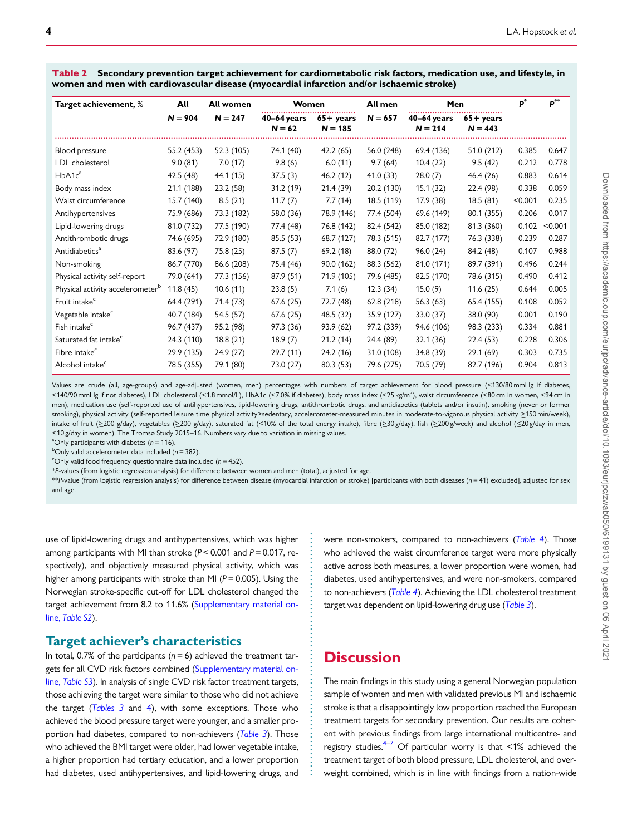<span id="page-3-0"></span>Table 2 Secondary prevention target achievement for cardiometabolic risk factors, medication use, and lifestyle, in women and men with cardiovascular disease (myocardial infarction and/or ischaemic stroke)

| Target achievement, %                        | All        | All women  |                           | Women                            |            | All men<br>Men           |                                  |         | $\mathbf{p}^{**}$ |
|----------------------------------------------|------------|------------|---------------------------|----------------------------------|------------|--------------------------|----------------------------------|---------|-------------------|
|                                              | $N = 904$  | $N = 247$  | $40-64$ years<br>$N = 62$ | $65 + \text{years}$<br>$N = 185$ | $N = 657$  | 40-64 years<br>$N = 214$ | $65 + \text{years}$<br>$N = 443$ |         |                   |
| Blood pressure                               | 55.2 (453) | 52.3 (105) | 74.1 (40)                 | 42.2(65)                         | 56.0 (248) | 69.4 (136)               | 51.0 (212)                       | 0.385   | 0.647             |
| LDL cholesterol                              | 9.0(81)    | 7.0(17)    | 9.8(6)                    | 6.0(11)                          | 9.7(64)    | 10.4(22)                 | 9.5(42)                          | 0.212   | 0.778             |
| HbA1c <sup>a</sup>                           | 42.5 (48)  | 44.1 (15)  | 37.5(3)                   | 46.2(12)                         | 41.0 (33)  | 28.0(7)                  | 46.4 (26)                        | 0.883   | 0.614             |
| Body mass index                              | 21.1 (188) | 23.2(58)   | 31.2(19)                  | 21.4(39)                         | 20.2 (130) | 15.1(32)                 | 22.4 (98)                        | 0.338   | 0.059             |
| Waist circumference                          | 15.7 (140) | 8.5(21)    | 11.7(7)                   | 7.7(14)                          | 18.5 (119) | 17.9 (38)                | 18.5(81)                         | < 0.001 | 0.235             |
| Antihypertensives                            | 75.9 (686) | 73.3 (182) | 58.0 (36)                 | 78.9 (146)                       | 77.4 (504) | 69.6 (149)               | 80.1 (355)                       | 0.206   | 0.017             |
| Lipid-lowering drugs                         | 81.0 (732) | 77.5 (190) | 77.4 (48)                 | 76.8 (142)                       | 82.4 (542) | 85.0 (182)               | 81.3 (360)                       | 0.102   | < 0.001           |
| Antithrombotic drugs                         | 74.6 (695) | 72.9 (180) | 85.5 (53)                 | 68.7 (127)                       | 78.3 (515) | 82.7 (177)               | 76.3 (338)                       | 0.239   | 0.287             |
| Antidiabetics <sup>a</sup>                   | 83.6 (97)  | 75.8 (25)  | 87.5(7)                   | 69.2(18)                         | 88.0 (72)  | 96.0(24)                 | 84.2 (48)                        | 0.107   | 0.988             |
| Non-smoking                                  | 86.7 (770) | 86.6 (208) | 75.4 (46)                 | 90.0 (162)                       | 88.3 (562) | 81.0 (171)               | 89.7 (391)                       | 0.496   | 0.244             |
| Physical activity self-report                | 79.0 (641) | 77.3 (156) | 87.9 (51)                 | 71.9 (105)                       | 79.6 (485) | 82.5 (170)               | 78.6 (315)                       | 0.490   | 0.412             |
| Physical activity accelerometer <sup>b</sup> | 11.8(45)   | 10.6(11)   | 23.8(5)                   | 7.1(6)                           | 12.3(34)   | 15.0(9)                  | 11.6(25)                         | 0.644   | 0.005             |
| Fruit intake <sup>c</sup>                    | 64.4 (291) | 71.4 (73)  | 67.6(25)                  | 72.7 (48)                        | 62.8(218)  | 56.3(63)                 | 65.4 (155)                       | 0.108   | 0.052             |
| Vegetable intake <sup>c</sup>                | 40.7 (184) | 54.5 (57)  | 67.6(25)                  | 48.5 (32)                        | 35.9 (127) | 33.0 (37)                | 38.0 (90)                        | 0.001   | 0.190             |
| Fish intake <sup>c</sup>                     | 96.7 (437) | 95.2 (98)  | 97.3 (36)                 | 93.9 (62)                        | 97.2 (339) | 94.6 (106)               | 98.3 (233)                       | 0.334   | 0.881             |
| Saturated fat intake <sup>c</sup>            | 24.3 (110) | 18.8(21)   | 18.9(7)                   | 21.2(14)                         | 24.4 (89)  | 32.1 (36)                | 22.4(53)                         | 0.228   | 0.306             |
| Fibre intake <sup>c</sup>                    | 29.9 (135) | 24.9(27)   | 29.7(11)                  | 24.2 (16)                        | 31.0 (108) | 34.8 (39)                | 29.1(69)                         | 0.303   | 0.735             |
| Alcohol intake <sup>c</sup>                  | 78.5 (355) | 79.1 (80)  | 73.0 (27)                 | 80.3(53)                         | 79.6 (275) | 70.5 (79)                | 82.7 (196)                       | 0.904   | 0.813             |

Values are crude (all, age-groups) and age-adjusted (women, men) percentages with numbers of target achievement for blood pressure (<130/80 mmHg if diabetes, <140/90 mmHg if not diabetes), LDL cholesterol (<1.8 mmol/L), HbA1c (<7.0% if diabetes), body mass index (<25 kg/m<sup>2</sup>), waist circumference (<80 cm in women, <94 cm in men), medication use (self-reported use of antihypertensives, lipid-lowering drugs, antithrombotic drugs, and antidiabetics (tablets and/or insulin), smoking (never or former smoking), physical activity (self-reported leisure time physical activity>sedentary, accelerometer-measured minutes in moderate-to-vigorous physical activity >150 min/week), intake of fruit (>200 g/day), vegetables (>200 g/day), saturated fat (<10% of the total energy intake), fibre (>30 g/day), fish (>200 g/week) and alcohol (<20 g/day in men, <\_10 g/day in women). The Tromsø Study 2015–16. Numbers vary due to variation in missing values.

<sup>a</sup>Only participants with diabetes ( $n = 116$ ).

 $b$ Only valid accelerometer data included (n = 382).

<sup>c</sup>Only valid food frequency questionnaire data included ( $n = 452$ ).

\*P-values (from logistic regression analysis) for difference between women and men (total), adjusted for age.

\*\*P-value (from logistic regression analysis) for difference between disease (myocardial infarction or stroke) [participants with both diseases (n = 41) excluded], adjusted for sex and age.

> . . . . . . . . . . . . . . . . . . . . . . . . . . . . . . . . . . . . . . . . . . . . . . . . . . . . . . . . . .

use of lipid-lowering drugs and antihypertensives, which was higher among participants with MI than stroke ( $P < 0.001$  and  $P = 0.017$ , respectively), and objectively measured physical activity, which was higher among participants with stroke than MI ( $P = 0.005$ ). Using the Norwegian stroke-specific cut-off for LDL cholesterol changed the target achievement from 8.2 to 11.6% ([Supplementary material on](https://academic.oup.com/eurjpc/article-lookup/doi/10.1093/eurjpc/zwab050#supplementary-data)line, [Table S2](https://academic.oup.com/eurjpc/article-lookup/doi/10.1093/eurjpc/zwab050#supplementary-data)).

### Target achiever's characteristics

In total, 0.7% of the participants ( $n = 6$ ) achieved the treatment targets for all CVD risk factors combined [\(Supplementary material on](https://academic.oup.com/eurjpc/article-lookup/doi/10.1093/eurjpc/zwab050#supplementary-data)line, [Table S3](https://academic.oup.com/eurjpc/article-lookup/doi/10.1093/eurjpc/zwab050#supplementary-data)). In analysis of single CVD risk factor treatment targets, those achieving the target were similar to those who did not achieve the target  $(Tables 3 and 4)$  $(Tables 3 and 4)$  $(Tables 3 and 4)$  $(Tables 3 and 4)$ , with some exceptions. Those who achieved the blood pressure target were younger, and a smaller pro-portion had diabetes, compared to non-achievers ([Table 3](#page-4-0)). Those who achieved the BMI target were older, had lower vegetable intake, a higher proportion had tertiary education, and a lower proportion had diabetes, used antihypertensives, and lipid-lowering drugs, and

were non-smokers, compared to non-achievers ([Table 4](#page-5-0)). Those who achieved the waist circumference target were more physically active across both measures, a lower proportion were women, had diabetes, used antihypertensives, and were non-smokers, compared to non-achievers ([Table 4](#page-5-0)). Achieving the LDL cholesterol treatment target was dependent on lipid-lowering drug use ([Table 3](#page-4-0)).

# **Discussion**

The main findings in this study using a general Norwegian population sample of women and men with validated previous MI and ischaemic stroke is that a disappointingly low proportion reached the European treatment targets for secondary prevention. Our results are coherent with previous findings from large international multicentre- and registry studies. $4\frac{1}{2}$  Of particular worry is that <1% achieved the treatment target of both blood pressure, LDL cholesterol, and overweight combined, which is in line with findings from a nation-wide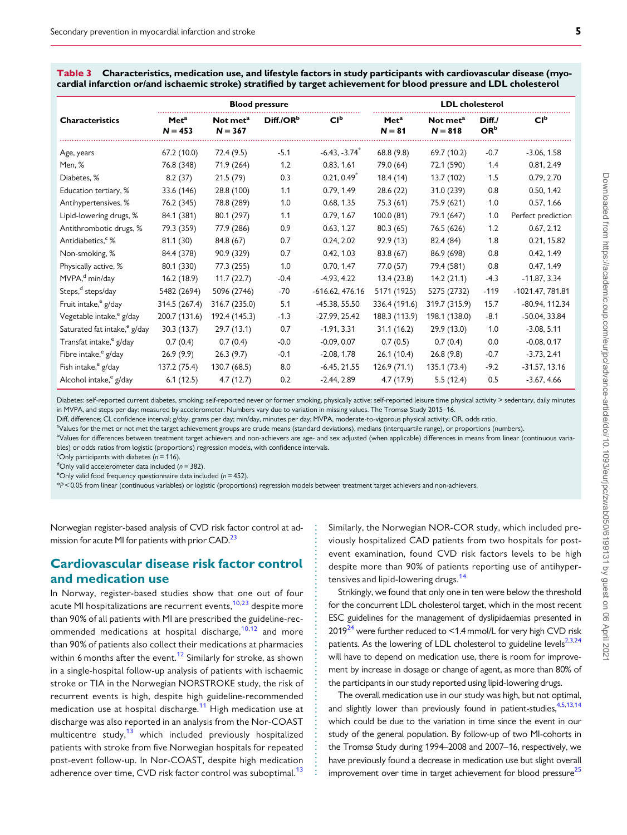|                                          | <b>Blood pressure</b>         |                                   |                       |                             | <b>LDL</b> cholesterol       |                                   |                           |                    |
|------------------------------------------|-------------------------------|-----------------------------------|-----------------------|-----------------------------|------------------------------|-----------------------------------|---------------------------|--------------------|
| <b>Characteristics</b>                   | Met <sup>a</sup><br>$N = 453$ | Not met <sup>a</sup><br>$N = 367$ | Diff./OR <sup>b</sup> | Cl <sup>b</sup>             | Met <sup>a</sup><br>$N = 81$ | Not met <sup>a</sup><br>$N = 818$ | Diff./<br>OR <sup>b</sup> | Cl <sup>b</sup>    |
| Age, years                               | 67.2 (10.0)                   | 72.4 (9.5)                        | $-5.1$                | $-6.43, -3.74$ <sup>*</sup> | 68.8(9.8)                    | 69.7 (10.2)                       | $-0.7$                    | $-3.06, 1.58$      |
| Men, %                                   | 76.8 (348)                    | 71.9 (264)                        | 1.2                   | 0.83, 1.61                  | 79.0 (64)                    | 72.1 (590)                        | 1.4                       | 0.81, 2.49         |
| Diabetes, %                              | 8.2(37)                       | 21.5(79)                          | 0.3                   | 0.21, 0.49                  | 18.4(14)                     | 13.7 (102)                        | 1.5                       | 0.79, 2.70         |
| Education tertiary, %                    | 33.6 (146)                    | 28.8 (100)                        | 1.1                   | 0.79, 1.49                  | 28.6 (22)                    | 31.0 (239)                        | 0.8                       | 0.50, 1.42         |
| Antihypertensives, %                     | 76.2 (345)                    | 78.8 (289)                        | 1.0                   | 0.68, 1.35                  | 75.3 (61)                    | 75.9 (621)                        | 1.0                       | 0.57, 1.66         |
| Lipid-lowering drugs, %                  | 84.1 (381)                    | 80.1 (297)                        | 1.1                   | 0.79, 1.67                  | 100.0 (81)                   | 79.1 (647)                        | 1.0                       | Perfect prediction |
| Antithrombotic drugs, %                  | 79.3 (359)                    | 77.9 (286)                        | 0.9                   | 0.63, 1.27                  | 80.3(65)                     | 76.5 (626)                        | 1.2                       | 0.67, 2.12         |
| Antidiabetics, &                         | 81.1 (30)                     | 84.8 (67)                         | 0.7                   | 0.24, 2.02                  | 92.9(13)                     | 82.4 (84)                         | 1.8                       | 0.21, 15.82        |
| Non-smoking, %                           | 84.4 (378)                    | 90.9 (329)                        | 0.7                   | 0.42, 1.03                  | 83.8 (67)                    | 86.9 (698)                        | 0.8                       | 0.42, 1.49         |
| Physically active, %                     | 80.1 (330)                    | 77.3 (255)                        | 1.0                   | 0.70, 1.47                  | 77.0 (57)                    | 79.4 (581)                        | 0.8                       | 0.47, 1.49         |
| MVPA, <sup>d</sup> min/day               | 16.2(18.9)                    | 11.7(22.7)                        | $-0.4$                | $-4.93, 4.22$               | 13.4(23.8)                   | 14.2(21.1)                        | $-4.3$                    | $-11.87, 3.34$     |
| Steps, <sup>d</sup> steps/day            | 5482 (2694)                   | 5096 (2746)                       | $-70$                 | $-616.62, 476.16$           | 5171 (1925)                  | 5275 (2732)                       | $-119$                    | -1021.47, 781.81   |
| Fruit intake, <sup>e</sup> g/day         | 314.5 (267.4)                 | 316.7 (235.0)                     | 5.1                   | $-45.38, 55.50$             | 336.4 (191.6)                | 319.7 (315.9)                     | 15.7                      | -80.94, 112.34     |
| Vegetable intake, <sup>e</sup> g/day     | 200.7 (131.6)                 | 192.4 (145.3)                     | $-1.3$                | $-27.99, 25.42$             | 188.3 (113.9)                | 198.1 (138.0)                     | $-8.1$                    | $-50.04, 33.84$    |
| Saturated fat intake, <sup>e</sup> g/day | 30.3(13.7)                    | 29.7(13.1)                        | 0.7                   | $-1.91, 3.31$               | 31.1(16.2)                   | 29.9 (13.0)                       | 1.0                       | $-3.08, 5.11$      |
| Transfat intake, <sup>e</sup> g/day      | 0.7(0.4)                      | 0.7(0.4)                          | $-0.0$                | $-0.09, 0.07$               | 0.7(0.5)                     | 0.7(0.4)                          | 0.0                       | $-0.08, 0.17$      |
| Fibre intake, <sup>e</sup> g/day         | 26.9(9.9)                     | 26.3(9.7)                         | $-0.1$                | $-2.08, 1.78$               | 26.1(10.4)                   | 26.8(9.8)                         | $-0.7$                    | $-3.73, 2.41$      |
| Fish intake, <sup>e</sup> g/day          | 137.2 (75.4)                  | 130.7 (68.5)                      | 8.0                   | $-6.45, 21.55$              | 126.9(71.1)                  | 135.1 (73.4)                      | $-9.2$                    | $-31.57, 13.16$    |

<span id="page-4-0"></span>Table 3 Characteristics, medication use, and lifestyle factors in study participants with cardiovascular disease (myocardial infarction or/and ischaemic stroke) stratified by target achievement for blood pressure and LDL cholesterol

Diabetes: self-reported current diabetes, smoking: self-reported never or former smoking, physically active: self-reported leisure time physical activity > sedentary, daily minutes in MVPA, and steps per day: measured by accelerometer. Numbers vary due to variation in missing values. The Tromsø Study 2015–16.

Alcohol intake, e g/day 6.1 (12.5) 4.7 (12.7) 0.2 -2.44, 2.89 4.7 (17.9) 5.5 (12.4) 0.5 -3.67, 4.66

Diff, difference; CI, confidence interval; g/day, grams per day; min/day, minutes per day; MVPA, moderate-to-vigorous physical activity; OR, odds ratio.

a Values for the met or not met the target achievement groups are crude means (standard deviations), medians (interquartile range), or proportions (numbers). b<br>Values for differences between treatment target achievers and non-achievers are age- and sex adjusted (when applicable) differences in means from linear (continuous variables) or odds ratios from logistic (proportions) regression models, with confidence intervals.

> . . . . . . . . . . . . . . . . . . . . . . . . . . . . . . . . . . . . . . . . . . . . . . . . . . . . . . . . . . . .

<sup>c</sup>Only participants with diabetes ( $n = 116$ ).

 $d$ Only valid accelerometer data included (n = 382).

<sup>e</sup>Only valid food frequency questionnaire data included ( $n = 452$ ).

\*P < 0.05 from linear (continuous variables) or logistic (proportions) regression models between treatment target achievers and non-achievers.

. Norwegian register-based analysis of CVD risk factor control at ad-mission for acute MI for patients with prior CAD.<sup>[23](#page-7-0)</sup>

### Cardiovascular disease risk factor control and medication use

In Norway, register-based studies show that one out of four acute MI hospitalizations are recurrent events,<sup>[10](#page-7-0),[23](#page-7-0)</sup> despite more than 90% of all patients with MI are prescribed the guideline-rec-ommended medications at hospital discharge,<sup>[10](#page-7-0),[12](#page-7-0)</sup> and more than 90% of patients also collect their medications at pharmacies within 6 months after the event.<sup>[12](#page-7-0)</sup> Similarly for stroke, as shown in a single-hospital follow-up analysis of patients with ischaemic stroke or TIA in the Norwegian NORSTROKE study, the risk of recurrent events is high, despite high guideline-recommended medication use at hospital discharge.<sup>[11](#page-7-0)</sup> High medication use at discharge was also reported in an analysis from the Nor-COAST multicentre study, $13$  which included previously hospitalized patients with stroke from five Norwegian hospitals for repeated post-event follow-up. In Nor-COAST, despite high medication adherence over time, CVD risk factor control was suboptimal.<sup>[13](#page-7-0)</sup>

Similarly, the Norwegian NOR-COR study, which included previously hospitalized CAD patients from two hospitals for postevent examination, found CVD risk factors levels to be high despite more than 90% of patients reporting use of antihyper-tensives and lipid-lowering drugs.<sup>[14](#page-7-0)</sup>

Strikingly, we found that only one in ten were below the threshold for the concurrent LDL cholesterol target, which in the most recent ESC guidelines for the management of dyslipidaemias presented in  $2019^{24}$  $2019^{24}$  $2019^{24}$  were further reduced to  $\leq$  1.4 mmol/L for very high CVD risk patients. As the lowering of LDL cholesterol to guideline levels $2,3,24$ will have to depend on medication use, there is room for improvement by increase in dosage or change of agent, as more than 80% of the participants in our study reported using lipid-lowering drugs.

The overall medication use in our study was high, but not optimal, and slightly lower than previously found in patient-studies,  $4,5,13,14$ which could be due to the variation in time since the event in our study of the general population. By follow-up of two MI-cohorts in the Tromsø Study during 1994–2008 and 2007–16, respectively, we have previously found a decrease in medication use but slight overall improvement over time in target achievement for blood pressure $^{25}$  $^{25}$  $^{25}$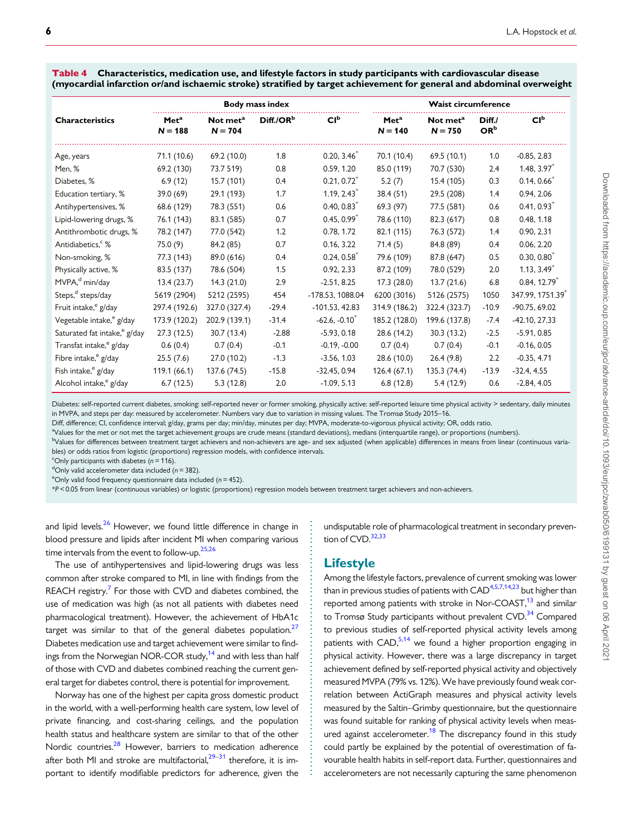<span id="page-5-0"></span>Table 4 Characteristics, medication use, and lifestyle factors in study participants with cardiovascular disease (myocardial infarction or/and ischaemic stroke) stratified by target achievement for general and abdominal overweight

|                                          | <b>Body mass index</b>        |                                   |                       |                  | <b>Waist circumference</b>    |                                   |                           |                 |
|------------------------------------------|-------------------------------|-----------------------------------|-----------------------|------------------|-------------------------------|-----------------------------------|---------------------------|-----------------|
| <b>Characteristics</b>                   | Met <sup>a</sup><br>$N = 188$ | Not met <sup>a</sup><br>$N = 704$ | Diff./OR <sup>b</sup> | Cl <sup>b</sup>  | Met <sup>a</sup><br>$N = 140$ | Not met <sup>a</sup><br>$N = 750$ | Diff./<br>OR <sup>b</sup> | Cl <sup>b</sup> |
| Age, years                               | 71.1 (10.6)                   | 69.2 (10.0)                       | 1.8                   | $0.20, 3.46^*$   | 70.1 (10.4)                   | 69.5(10.1)                        | 1.0                       | $-0.85, 2.83$   |
| Men, %                                   | 69.2 (130)                    | 73.7 519)                         | 0.8                   | 0.59, 1.20       | 85.0 (119)                    | 70.7 (530)                        | 2.4                       | $1.48, 3.97^*$  |
| Diabetes, %                              | 6.9(12)                       | 15.7 (101)                        | 0.4                   | $0.21, 0.72^*$   | 5.2(7)                        | 15.4 (105)                        | 0.3                       | 0.14, 0.66      |
| Education tertiary, %                    | 39.0(69)                      | 29.1 (193)                        | 1.7                   | 1.19, 2.43       | 38.4(51)                      | 29.5 (208)                        | 1.4                       | 0.94, 2.06      |
| Antihypertensives, %                     | 68.6 (129)                    | 78.3 (551)                        | 0.6                   | 0.40, 0.83       | 69.3 (97)                     | 77.5 (581)                        | 0.6                       | 0.41, 0.93      |
| Lipid-lowering drugs, %                  | 76.1 (143)                    | 83.1 (585)                        | 0.7                   | $0.45, 0.99*$    | 78.6 (110)                    | 82.3 (617)                        | 0.8                       | 0.48, 1.18      |
| Antithrombotic drugs, %                  | 78.2 (147)                    | 77.0 (542)                        | 1.2                   | 0.78, 1.72       | 82.1 (115)                    | 76.3 (572)                        | 1.4                       | 0.90, 2.31      |
| Antidiabetics, <sup>c</sup> %            | 75.0(9)                       | 84.2 (85)                         | 0.7                   | 0.16, 3.22       | 71.4(5)                       | 84.8 (89)                         | 0.4                       | 0.06, 2.20      |
| Non-smoking, %                           | 77.3 (143)                    | 89.0 (616)                        | 0.4                   | 0.24, 0.58       | 79.6 (109)                    | 87.8 (647)                        | 0.5                       | $0.30, 0.80^*$  |
| Physically active, %                     | 83.5 (137)                    | 78.6 (504)                        | 1.5                   | 0.92, 2.33       | 87.2 (109)                    | 78.0 (529)                        | 2.0                       | $1.13, 3.49*$   |
| MVPA, <sup>d</sup> min/day               | 13.4(23.7)                    | 14.3(21.0)                        | 2.9                   | $-2.51, 8.25$    | 17.3(28.0)                    | 13.7(21.6)                        | 6.8                       | $0.84, 12.79*$  |
| Steps, <sup>d</sup> steps/day            | 5619 (2904)                   | 5212 (2595)                       | 454                   | -178.53, 1088.04 | 6200 (3016)                   | 5126 (2575)                       | 1050                      | 347.99, 1751.39 |
| Fruit intake, <sup>e</sup> g/day         | 297.4 (192.6)                 | 327.0 (327.4)                     | $-29.4$               | $-101.53, 42.83$ | 314.9 (186.2)                 | 322.4 (323.7)                     | $-10.9$                   | $-90.75, 69.02$ |
| Vegetable intake, <sup>e</sup> g/day     | 173.9 (120.2)                 | 202.9 (139.1)                     | $-31.4$               | $-62.6, -0.10$   | 185.2 (128.0)                 | 199.6 (137.8)                     | $-7.4$                    | $-42.10, 27.33$ |
| Saturated fat intake, <sup>e</sup> g/day | 27.3(12.5)                    | 30.7 (13.4)                       | $-2.88$               | $-5.93, 0.18$    | 28.6 (14.2)                   | 30.3(13.2)                        | $-2.5$                    | $-5.91, 0.85$   |
| Transfat intake, <sup>e</sup> g/day      | 0.6(0.4)                      | 0.7(0.4)                          | $-0.1$                | $-0.19, -0.00$   | 0.7(0.4)                      | 0.7(0.4)                          | $-0.1$                    | $-0.16, 0.05$   |
| Fibre intake, <sup>e</sup> g/day         | 25.5(7.6)                     | 27.0 (10.2)                       | $-1.3$                | $-3.56, 1.03$    | 28.6 (10.0)                   | 26.4(9.8)                         | 2.2                       | $-0.35, 4.71$   |
| Fish intake, <sup>e</sup> g/day          | 119.1(66.1)                   | 137.6 (74.5)                      | $-15.8$               | $-32.45, 0.94$   | 126.4(67.1)                   | 135.3 (74.4)                      | $-13.9$                   | $-32.4, 4.55$   |
| Alcohol intake, <sup>e</sup> g/day       | 6.7(12.5)                     | 5.3(12.8)                         | 2.0                   | $-1.09, 5.13$    | 6.8(12.8)                     | 5.4(12.9)                         | 0.6                       | $-2.84, 4.05$   |

Diabetes: self-reported current diabetes, smoking: self-reported never or former smoking, physically active: self-reported leisure time physical activity > sedentary, daily minutes in MVPA, and steps per day: measured by accelerometer. Numbers vary due to variation in missing values. The Tromsø Study 2015–16.

Diff, difference; CI, confidence interval; g/day, grams per day; min/day, minutes per day; MVPA, moderate-to-vigorous physical activity; OR, odds ratio.

a Values for the met or not met the target achievement groups are crude means (standard deviations), medians (interquartile range), or proportions (numbers).

b<br>Values for differences between treatment target achievers and non-achievers are age- and sex adjusted (when applicable) differences in means from linear (continuous variables) or odds ratios from logistic (proportions) regression models, with confidence intervals.

> . . . . . . . . . . . . . . . . . . . . . . . . . . . . . . . . . . . . . . . . . . . . . . . . . . . . . . . . . . . . .

<sup>c</sup>Only participants with diabetes ( $n = 116$ ).

 $d$ Only valid accelerometer data included (n = 382). <sup>e</sup>Only valid food frequency questionnaire data included ( $n = 452$ ).

\*P < 0.05 from linear (continuous variables) or logistic (proportions) regression models between treatment target achievers and non-achievers.

and lipid levels.<sup>26</sup> However, we found little difference in change in blood pressure and lipids after incident MI when comparing various time intervals from the event to follow-up.<sup>25,26</sup>

The use of antihypertensives and lipid-lowering drugs was less common after stroke compared to MI, in line with findings from the REACH registry. $7$  For those with CVD and diabetes combined, the use of medication was high (as not all patients with diabetes need pharmacological treatment). However, the achievement of HbA1c target was similar to that of the general diabetes population. $27$ Diabetes medication use and target achievement were similar to findings from the Norwegian NOR-COR study,<sup>14</sup> and with less than half of those with CVD and diabetes combined reaching the current general target for diabetes control, there is potential for improvement.

Norway has one of the highest per capita gross domestic product in the world, with a well-performing health care system, low level of private financing, and cost-sharing ceilings, and the population health status and healthcare system are similar to that of the other Nordic countries.<sup>[28](#page-7-0)</sup> However, barriers to medication adherence after both MI and stroke are multifactorial. $29-31$  therefore, it is important to identify modifiable predictors for adherence, given the

undisputable role of pharmacological treatment in secondary prevention of  $CVD$ .  $32,33$ 

#### Lifestyle

Among the lifestyle factors, prevalence of current smoking was lower than in previous studies of patients with  $CAD^{4,5,7,14,23}$  but higher than reported among patients with stroke in Nor-COAST,<sup>13</sup> and similar to Tromsø Study participants without prevalent CVD.<sup>34</sup> Compared to previous studies of self-reported physical activity levels among patients with  $CAD<sub>2</sub><sup>5,14</sup>$  $CAD<sub>2</sub><sup>5,14</sup>$  $CAD<sub>2</sub><sup>5,14</sup>$  we found a higher proportion engaging in physical activity. However, there was a large discrepancy in target achievement defined by self-reported physical activity and objectively measured MVPA (79% vs. 12%). We have previously found weak correlation between ActiGraph measures and physical activity levels measured by the Saltin–Grimby questionnaire, but the questionnaire was found suitable for ranking of physical activity levels when measured against accelerometer.<sup>18</sup> The discrepancy found in this study could partly be explained by the potential of overestimation of favourable health habits in self-report data. Further, questionnaires and accelerometers are not necessarily capturing the same phenomenon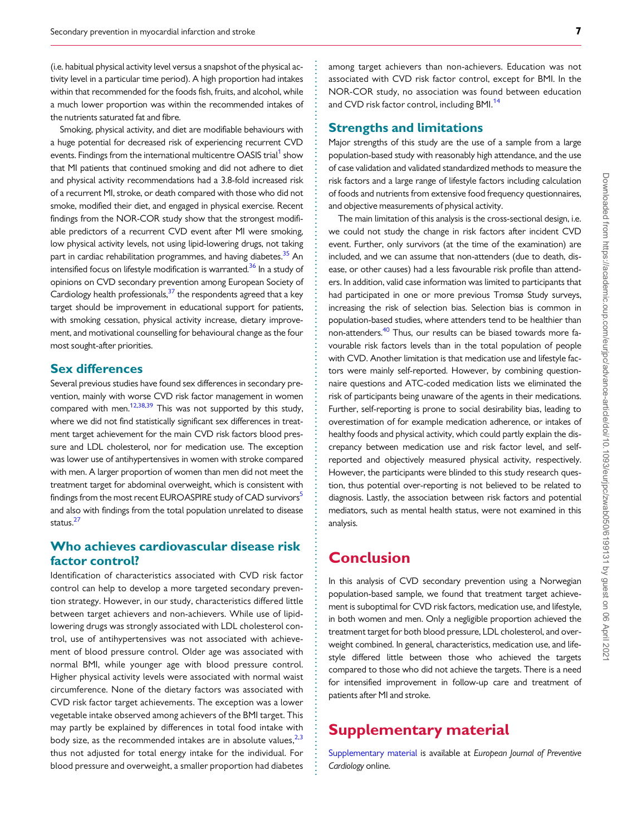<span id="page-6-0"></span>. (i.e. habitual physical activity level versus a snapshot of the physical activity level in a particular time period). A high proportion had intakes within that recommended for the foods fish, fruits, and alcohol, while a much lower proportion was within the recommended intakes of the nutrients saturated fat and fibre.

Smoking, physical activity, and diet are modifiable behaviours with a huge potential for decreased risk of experiencing recurrent CVD events. Findings from the international multicentre OASIS trial<sup>1</sup> show that MI patients that continued smoking and did not adhere to diet and physical activity recommendations had a 3.8-fold increased risk of a recurrent MI, stroke, or death compared with those who did not smoke, modified their diet, and engaged in physical exercise. Recent findings from the NOR-COR study show that the strongest modifiable predictors of a recurrent CVD event after MI were smoking, low physical activity levels, not using lipid-lowering drugs, not taking part in cardiac rehabilitation programmes, and having diabetes.<sup>[35](#page-8-0)</sup> An intensified focus on lifestyle modification is warranted.<sup>[36](#page-8-0)</sup> In a study of opinions on CVD secondary prevention among European Society of Cardiology health professionals, $37$  the respondents agreed that a key target should be improvement in educational support for patients, with smoking cessation, physical activity increase, dietary improvement, and motivational counselling for behavioural change as the four most sought-after priorities.

### Sex differences

Several previous studies have found sex differences in secondary prevention, mainly with worse CVD risk factor management in women compared with men.<sup>12,[38,39](#page-8-0)</sup> This was not supported by this study, where we did not find statistically significant sex differences in treatment target achievement for the main CVD risk factors blood pressure and LDL cholesterol, nor for medication use. The exception was lower use of antihypertensives in women with stroke compared with men. A larger proportion of women than men did not meet the treatment target for abdominal overweight, which is consistent with findings from the most recent EUROASPIRE study of CAD survivors<sup>[5](#page-7-0)</sup> and also with findings from the total population unrelated to disease status.<sup>27</sup>

# Who achieves cardiovascular disease risk factor control?

Identification of characteristics associated with CVD risk factor control can help to develop a more targeted secondary prevention strategy. However, in our study, characteristics differed little between target achievers and non-achievers. While use of lipidlowering drugs was strongly associated with LDL cholesterol control, use of antihypertensives was not associated with achievement of blood pressure control. Older age was associated with normal BMI, while younger age with blood pressure control. Higher physical activity levels were associated with normal waist circumference. None of the dietary factors was associated with CVD risk factor target achievements. The exception was a lower vegetable intake observed among achievers of the BMI target. This may partly be explained by differences in total food intake with body size, as the recommended intakes are in absolute values,  $2,3$  $2,3$  $2,3$ thus not adjusted for total energy intake for the individual. For blood pressure and overweight, a smaller proportion had diabetes

among target achievers than non-achievers. Education was not associated with CVD risk factor control, except for BMI. In the NOR-COR study, no association was found between education and CVD risk factor control, including BMI.<sup>[14](#page-7-0)</sup>

### Strengths and limitations

Major strengths of this study are the use of a sample from a large population-based study with reasonably high attendance, and the use of case validation and validated standardized methods to measure the risk factors and a large range of lifestyle factors including calculation of foods and nutrients from extensive food frequency questionnaires, and objective measurements of physical activity.

The main limitation of this analysis is the cross-sectional design, i.e. we could not study the change in risk factors after incident CVD event. Further, only survivors (at the time of the examination) are included, and we can assume that non-attenders (due to death, disease, or other causes) had a less favourable risk profile than attenders. In addition, valid case information was limited to participants that had participated in one or more previous Tromsø Study surveys, increasing the risk of selection bias. Selection bias is common in population-based studies, where attenders tend to be healthier than non-attenders.[40](#page-8-0) Thus, our results can be biased towards more favourable risk factors levels than in the total population of people with CVD. Another limitation is that medication use and lifestyle factors were mainly self-reported. However, by combining questionnaire questions and ATC-coded medication lists we eliminated the risk of participants being unaware of the agents in their medications. Further, self-reporting is prone to social desirability bias, leading to overestimation of for example medication adherence, or intakes of healthy foods and physical activity, which could partly explain the discrepancy between medication use and risk factor level, and selfreported and objectively measured physical activity, respectively. However, the participants were blinded to this study research question, thus potential over-reporting is not believed to be related to diagnosis. Lastly, the association between risk factors and potential mediators, such as mental health status, were not examined in this analysis.

# Conclusion

. . . . . . . . . . . . . . . . . . . . . . . . . . . . . . . . . . . . . . . . . . . . . . . . . . . . . . . . . . . . . . . . . . . . . . . . . . . . . . . . . . . . . . . . . . . . . . . . . . . . . . . . . . . . . . . . . . . . . . . . . . . . . . . . . . . . . . . . . . . . . . . . . . . . . . . . . . . . . . . . . . . . . . . . . . . .

In this analysis of CVD secondary prevention using a Norwegian population-based sample, we found that treatment target achievement is suboptimal for CVD risk factors, medication use, and lifestyle, in both women and men. Only a negligible proportion achieved the treatment target for both blood pressure, LDL cholesterol, and overweight combined. In general, characteristics, medication use, and lifestyle differed little between those who achieved the targets compared to those who did not achieve the targets. There is a need for intensified improvement in follow-up care and treatment of patients after MI and stroke.

# Supplementary material

[Supplementary material](https://academic.oup.com/eurjpc/article-lookup/doi/10.1093/eurjpc/zwab050#supplementary-data) is available at European Journal of Preventive Cardiology online.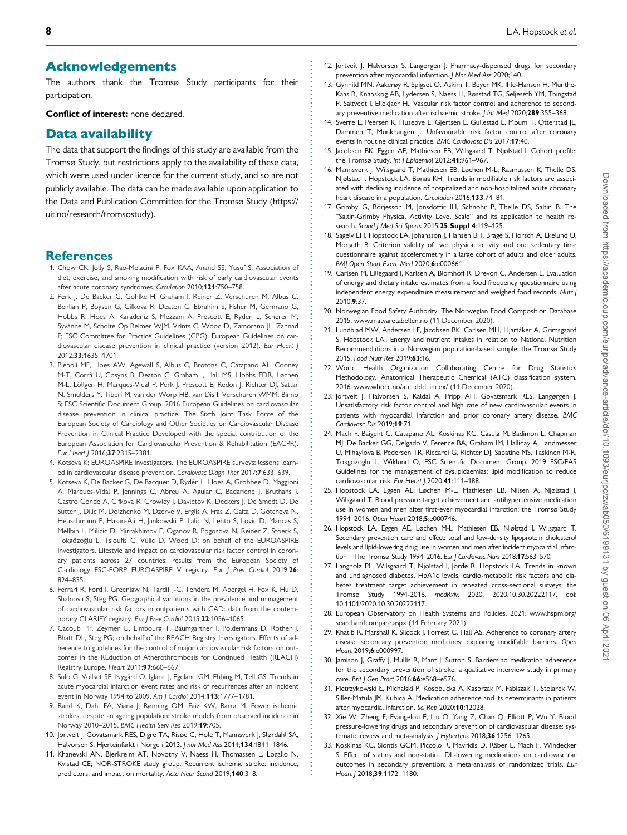#### <span id="page-7-0"></span>. Acknowledgements

The authors thank the Tromsø Study participants for their participation.

Conflict of interest: none declared.

#### Data availability

The data that support the findings of this study are available from the Tromsø Study, but restrictions apply to the availability of these data, which were used under licence for the current study, and so are not publicly available. The data can be made available upon application to the Data and Publication Committee for the Tromsø Study (https:// uit.no/research/tromsostudy).

#### **References**

- [1](#page-1-0). Chow CK, Jolly S, Rao-Melacini P, Fox KAA, Anand SS, Yusuf S. Association of diet, exercise, and smoking modification with risk of early cardiovascular events after acute coronary syndromes. Circulation 2010;121:750–758.
- [2](#page-1-0). Perk J, De Backer G, Gohlke H, Graham I, Reiner Z, Verschuren M, Albus C, Benlian P, Boysen G, Cifkova R, Deaton C, Ebrahim S, Fisher M, Germano G, Hobbs R, Hoes A, Karadeniz S, Mezzani A, Prescott E, Ryden L, Scherer M, Syvänne M, Scholte Op Reimer WJM, Vrints C, Wood D, Zamorano JL, Zannad F; ESC Committee for Practice Guidelines (CPG). European Guidelines on cardiovascular disease prevention in clinical practice (version 2012). Eur Heart J 2012;33:1635–1701.
- [3](#page-1-0). Piepoli MF, Hoes AW, Agewall S, Albus C, Brotons C, Catapano AL, Cooney M-T, Corra` U, Cosyns B, Deaton C, Graham I, Hall MS, Hobbs FDR, Løchen M-L, Löllgen H, Marques-Vidal P, Perk J, Prescott E, Redon J, Richter DJ, Sattar N, Smulders Y, Tiberi M, van der Worp HB, van Dis I, Verschuren WMM, Binno S; ESC Scientific Document Group. 2016 European Guidelines on cardiovascular disease prevention in clinical practice. The Sixth Joint Task Force of the European Society of Cardiology and Other Societies on Cardiovascular Disease Prevention in Clinical Practice Developed with the special contribution of the European Association for Cardiovascular Prevention & Rehabilitation (EACPR). Eur Heart | 2016;37:2315-2381.
- [4](#page-1-0). Kotseva K; EUROASPIRE Investigators. The EUROASPIRE surveys: lessons learned in cardiovascular disease prevention. Cardiovasc Diagn Ther 2017;7:633-639.
- [5](#page-1-0). Kotseva K, De Backer G, De Bacquer D, Rydén L, Hoes A, Grobbee D, Maggioni A, Marques-Vidal P, Jennings C, Abreu A, Aguiar C, Badariene J, Bruthans J, Castro Conde A, Cifkova R, Crowley J, Davletov K, Deckers J, De Smedt D, De Sutter J, Dilic M, Dolzhenko M, Dzerve V, Erglis A, Fras Z, Gaita D, Gotcheva N, Heuschmann P, Hasan-Ali H, Jankowski P, Lalic N, Lehto S, Lovic D, Mancas S, Mellbin L, Milicic D, Mirrakhimov E, Oganov R, Pogosova N, Reiner Z, Stöerk S, Tokgözoğlu L, Tsioufis C, Vulic D, Wood D; on behalf of the EUROASPIRE Investigators. Lifestyle and impact on cardiovascular risk factor control in coronary patients across 27 countries: results from the European Society of Cardiology ESC-EORP EUROASPIRE V registry. Eur J Prev Cardiol 2019;26: 824–835.
- [6](#page-1-0). Ferrari R, Ford I, Greenlaw N, Tardif J-C, Tendera M, Abergel H, Fox K, Hu D, Shalnova S, Steg PG. Geographical variations in the prevalence and management of cardiovascular risk factors in outpatients with CAD: data from the contemporary CLARIFY registry. Eur J Prev Cardiol 2015;22:1056-1065.
- [7](#page-1-0). Cacoub PP, Zeymer U, Limbourg T, Baumgartner I, Poldermans D, Rother J, Bhatt DL, Steg PG; on behalf of the REACH Registry Investigators. Effects of adherence to guidelines for the control of major cardiovascular risk factors on outcomes in the REduction of Atherothrombosis for Continued Health (REACH) Registry Europe. Heart 2011;97:660–667.
- [8](#page-1-0). Sulo G, Vollset SE, Nygård O, Igland J, Egeland GM, Ebbing M, Tell GS. Trends in acute myocardial infarction event rates and risk of recurrences after an incident event in Norway 1994 to 2009. Am | Cardiol 2014;113:1777-1781.
- [9](#page-1-0). Rand K, Dahl FA, Viana J, Rønning OM, Faiz KW, Barra M. Fewer ischemic strokes, despite an ageing population: stroke models from observed incidence in Norway 2010–2015. BMC Health Serv Res 2019;19:705.
- [10](#page-1-0). Jortveit J, Govatsmark RES, Digre TA, Risøe C, Hole T, Mannsverk J, Slørdahl SA, Halvorsen S. Hjerteinfarkt i Norge i 2013. J nor Med Ass 2014;134:1841-1846.
- [11](#page-1-0). Khanevski AN, Bjerkreim AT, Novotny V, Naess H, Thomassen L, Logallo N, Kvistad CE; NOR-STROKE study group. Recurrent ischemic stroke: incidence, predictors, and impact on mortality. Acta Neur Scand 2019;140:3–8.
- [12.](#page-4-0) Jortveit J, Halvorsen S, Langørgen J. Pharmacy-dispensed drugs for secondary prevention after myocardial infarction. | Nor Med Ass 2020;140...
- [13.](#page-1-0) Gynnild MN, Aakerøy R, Spigset O, Askim T, Beyer MK, Ihle-Hansen H, Munthe-Kaas R, Knapskog AB, Lydersen S, Naess H, Røsstad TG, Seljeseth YM, Thingstad P, Saltvedt I, Ellekjaer H.. Vascular risk factor control and adherence to secondary preventive medication after ischaemic stroke. *J Int Med* 2020;289:355-368.
- [14.](#page-1-0) Sverre E, Peersen K, Husebye E, Gjertsen E, Gullestad L, Moum T, Otterstad JE, Dammen T, Munkhaugen J.. Unfavourable risk factor control after coronary events in routine clinical practice. BMC Cardiovasc Dis 2017;17:40.
- [15.](#page-1-0) Jacobsen BK, Eggen AE, Mathiesen EB, Wilsgaard T, Njølstad I. Cohort profile: the Tromsø Study. Int | Epidemiol 2012;41:961-967.
- [16.](#page-1-0) Mannsverk J, Wilsgaard T, Mathiesen EB, Løchen M-L, Rasmussen K, Thelle DS, Njølstad I, Hopstock LA, Bønaa KH. Trends in modifiable risk factors are associated with declining incidence of hospitalized and non-hospitalized acute coronary heart disease in a population. Circulation 2016;133:74-81.
- [17.](#page-1-0) Grimby G, Börjesson M, Jonsdottir IH, Schnohr P, Thelle DS, Saltin B. The "Saltin-Grimby Physical Activity Level Scale" and its application to health research. Scand J Med Sci Sports 2015;25 Suppl 4:119-125.
- [18.](#page-1-0) Sagelv EH, Hopstock LA, Johansson J, Hansen BH, Brage S, Horsch A, Ekelund U, Morseth B. Criterion validity of two physical activity and one sedentary time questionnaire against accelerometry in a large cohort of adults and older adults. BMJ Open Sport Exerc Med 2020;6:e000661.
- [19.](#page-1-0) Carlsen M, Lillegaard I, Karlsen A, Blomhoff R, Drevon C, Andersen L. Evaluation of energy and dietary intake estimates from a food frequency questionnaire using independent energy expenditure measurement and weighed food records. Nutr J 2010;9:37.
- [20.](#page-2-0) Norwegian Food Safety Authority. The Norwegian Food Composition Database 2015. [www.matvaretabellen.no](http://www.matvaretabellen.no) (11 December 2020).
- [21.](#page-2-0) Lundblad MW, Andersen LF, Jacobsen BK, Carlsen MH, Hjartåker A, Grimsgaard S, Hopstock LA.. Energy and nutrient intakes in relation to National Nutrition Recommendations in a Norwegian population-based sample: the Tromsø Study 2015. Food Nutr Res 2019;63:16.
- [22.](#page-2-0) World Health Organization Collaborating Centre for Drug Statistics Methodology. Anatomical Therapeutic Chemical (ATC) classification system. 2016. [www.whocc.no/atc\\_ddd\\_index/](http://www.whocc.no/atc_ddd_index/) (11 December 2020).
- [23.](#page-4-0) Jortveit J, Halvorsen S, Kaldal A, Pripp AH, Govatsmark RES, Langørgen J. Unsatisfactory risk factor control and high rate of new cardiovascular events in patients with myocardial infarction and prior coronary artery disease. BMC Cardiovasc Dis 2019;19:71.
- [24.](#page-4-0) Mach F, Baigent C, Catapano AL, Koskinas KC, Casula M, Badimon L, Chapman MJ, De Backer GG, Delgado V, Ference BA, Graham IM, Halliday A, Landmesser U, Mihaylova B, Pedersen TR, Riccardi G, Richter DJ, Sabatine MS, Taskinen M-R, Tokgozoglu L, Wiklund O, ESC Scientific Document Group. 2019 ESC/EAS Guidelines for the management of dyslipidaemias: lipid modification to reduce cardiovascular risk. Eur Heart J 2020;41:111-188.
- [25.](#page-4-0) Hopstock LA, Eggen AE, Løchen M-L, Mathiesen EB, Nilsen A, Njølstad I, Wilsgaard T. Blood pressure target achievement and antihypertensive medication use in women and men after first-ever myocardial infarction: the Tromsø Study 1994–2016. Open Heart 2018;5:e000746.
- [26.](#page-5-0) Hopstock LA, Eggen AE, Løchen M-L, Mathiesen EB, Njølstad I, Wilsgaard T. Secondary prevention care and effect: total and low-density lipoprotein cholesterol levels and lipid-lowering drug use in women and men after incident myocardial infarction-The Tromsø Study 1994-2016. Eur J Cardiovasc Nurs 2018;17:563-570.
- [27.](#page-5-0) Langholz PL, Wilsgaard T, Njolstad I, Jorde R, Hopstock LA. Trends in known and undiagnosed diabetes, HbA1c levels, cardio-metabolic risk factors and diabetes treatment target achievement in repeated cross-sectional surveys: the Tromsø Study 1994-2016. medRxiv. 2020. 2020.10.30.20222117. doi: 10.1101/2020.10.30.20222117.
- [28.](#page-5-0) European Observatory on Health Systems and Policies. 2021. [www.hspm.org/](http://www.hspm.org/searchandcompare.aspx) [searchandcompare.aspx](http://www.hspm.org/searchandcompare.aspx) (14 February 2021).
- 29. Khatib R, Marshall K, Silcock J, Forrest C, Hall AS, Adherence to coronary artery disease secondary prevention medicines: exploring modifiable barriers. Open Heart 2019;6:e000997.
- 30. Jamison J, Graffy J, Mullis R, Mant J, Sutton S. Barriers to medication adherence for the secondary prevention of stroke: a qualitative interview study in primary care. Brit J Gen Pract 2016;66:e568–e576.
- 31. Pietrzykowski Ł, Michalski P, Kosobucka A, Kasprzak M, Fabiszak T, Stolarek W, Siller-Matula JM, Kubica A. Medication adherence and its determinants in patients after myocardial infarction. Sci Rep 2020;10:12028.
- [32.](#page-5-0) Xie W, Zheng F, Evangelou E, Liu O, Yang Z, Chan Q, Elliott P, Wu Y. Blood pressure-lowering drugs and secondary prevention of cardiovascular disease: systematic review and meta-analysis. J Hypertens 2018;36:1256-1265.
- [33.](#page-5-0) Koskinas KC, Siontis GCM, Piccolo R, Mavridis D, Räber L, Mach F, Windecker S. Effect of statins and non-statin LDL-lowering medications on cardiovascular outcomes in secondary prevention: a meta-analysis of randomized trials. Eur Heart | 2018;39:1172-1180.

. . . . . . . . . . . . . . . . . . . . . . . . . . . . . . . . . . . . . . . . . . . . . . . . . . . . . . . . . . . . . . . . . . . . . . . . . . . . . . . . . . . . . . . . . . . . . . . . . . . . . . . . . . . . . . . . . . . . . . . . . . . . . . . . . . . . . . . . . . . . . . . . . . . . . . . . . . . . . . . . . . . . . . . . . . . .